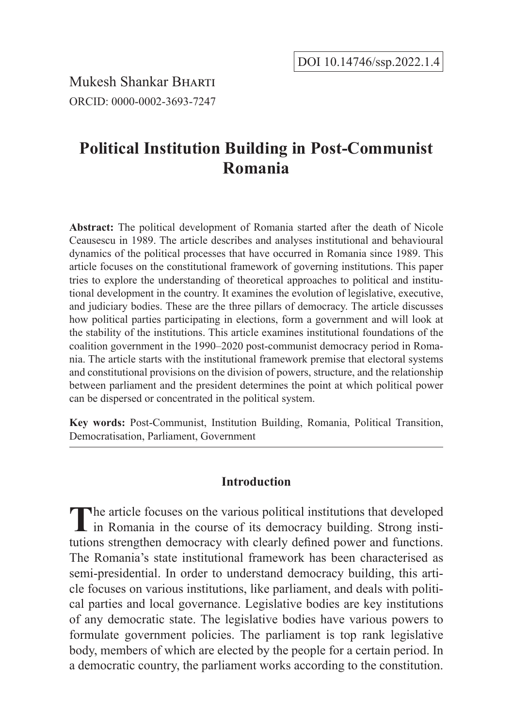Mukesh Shankar Bharti ORCID: 0000-0002-3693-7247

# **Political Institution Building in Post-Communist Romania**

**Abstract:** The political development of Romania started after the death of Nicole Ceausescu in 1989. The article describes and analyses institutional and behavioural dynamics of the political processes that have occurred in Romania since 1989. This article focuses on the constitutional framework of governing institutions. This paper tries to explore the understanding of theoretical approaches to political and institutional development in the country. It examines the evolution of legislative, executive, and judiciary bodies. These are the three pillars of democracy. The article discusses how political parties participating in elections, form a government and will look at the stability of the institutions. This article examines institutional foundations of the coalition government in the 1990–2020 post-communist democracy period in Romania. The article starts with the institutional framework premise that electoral systems and constitutional provisions on the division of powers, structure, and the relationship between parliament and the president determines the point at which political power can be dispersed or concentrated in the political system.

**Key words:** Post-Communist, Institution Building, Romania, Political Transition, Democratisation, Parliament, Government

# **Introduction**

The article focuses on the various political institutions that developed in Romania in the course of its democracy building. Strong institutions strengthen democracy with clearly defined power and functions. The Romania's state institutional framework has been characterised as semi-presidential. In order to understand democracy building, this article focuses on various institutions, like parliament, and deals with political parties and local governance. Legislative bodies are key institutions of any democratic state. The legislative bodies have various powers to formulate government policies. The parliament is top rank legislative body, members of which are elected by the people for a certain period. In a democratic country, the parliament works according to the constitution.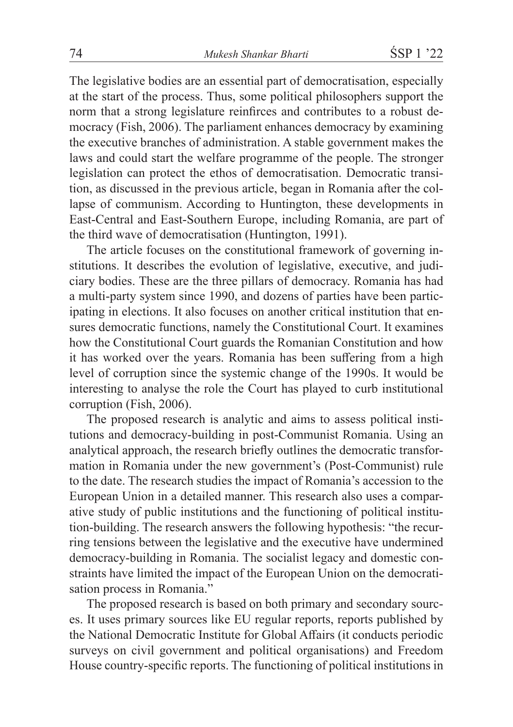The legislative bodies are an essential part of democratisation, especially at the start of the process. Thus, some political philosophers support the norm that a strong legislature reinfirces and contributes to a robust democracy (Fish, 2006). The parliament enhances democracy by examining the executive branches of administration. A stable government makes the laws and could start the welfare programme of the people. The stronger legislation can protect the ethos of democratisation. Democratic transition, as discussed in the previous article, began in Romania after the collapse of communism. According to Huntington, these developments in East-Central and East-Southern Europe, including Romania, are part of the third wave of democratisation (Huntington, 1991).

The article focuses on the constitutional framework of governing institutions. It describes the evolution of legislative, executive, and judiciary bodies. These are the three pillars of democracy. Romania has had a multi-party system since 1990, and dozens of parties have been participating in elections. It also focuses on another critical institution that ensures democratic functions, namely the Constitutional Court. It examines how the Constitutional Court guards the Romanian Constitution and how it has worked over the years. Romania has been suffering from a high level of corruption since the systemic change of the 1990s. It would be interesting to analyse the role the Court has played to curb institutional corruption (Fish, 2006).

The proposed research is analytic and aims to assess political institutions and democracy-building in post-Communist Romania. Using an analytical approach, the research briefly outlines the democratic transformation in Romania under the new government's (Post-Communist) rule to the date. The research studies the impact of Romania's accession to the European Union in a detailed manner. This research also uses a comparative study of public institutions and the functioning of political institution-building. The research answers the following hypothesis: "the recurring tensions between the legislative and the executive have undermined democracy-building in Romania. The socialist legacy and domestic constraints have limited the impact of the European Union on the democratisation process in Romania."

The proposed research is based on both primary and secondary sources. It uses primary sources like EU regular reports, reports published by the National Democratic Institute for Global Affairs (it conducts periodic surveys on civil government and political organisations) and Freedom House country-specific reports. The functioning of political institutions in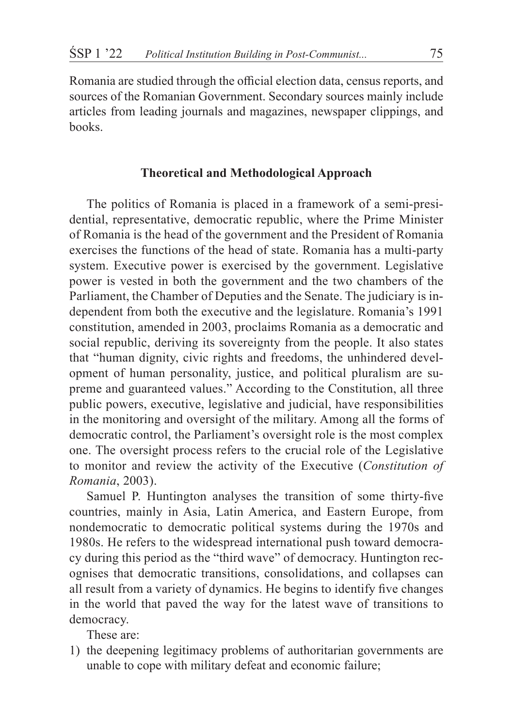Romania are studied through the official election data, census reports, and sources of the Romanian Government. Secondary sources mainly include articles from leading journals and magazines, newspaper clippings, and books.

# **Theoretical and Methodological Approach**

The politics of Romania is placed in a framework of a semi-presidential, representative, democratic republic, where the Prime Minister of Romania is the head of the government and the President of Romania exercises the functions of the head of state. Romania has a multi-party system. Executive power is exercised by the government. Legislative power is vested in both the government and the two chambers of the Parliament, the Chamber of Deputies and the Senate. The judiciary is independent from both the executive and the legislature. Romania's 1991 constitution, amended in 2003, proclaims Romania as a democratic and social republic, deriving its sovereignty from the people. It also states that "human dignity, civic rights and freedoms, the unhindered development of human personality, justice, and political pluralism are supreme and guaranteed values." According to the Constitution, all three public powers, executive, legislative and judicial, have responsibilities in the monitoring and oversight of the military. Among all the forms of democratic control, the Parliament's oversight role is the most complex one. The oversight process refers to the crucial role of the Legislative to monitor and review the activity of the Executive (*Constitution of Romania*, 2003).

Samuel P. Huntington analyses the transition of some thirty-five countries, mainly in Asia, Latin America, and Eastern Europe, from nondemocratic to democratic political systems during the 1970s and 1980s. He refers to the widespread international push toward democracy during this period as the "third wave" of democracy. Huntington recognises that democratic transitions, consolidations, and collapses can all result from a variety of dynamics. He begins to identify five changes in the world that paved the way for the latest wave of transitions to democracy.

These are:

1) the deepening legitimacy problems of authoritarian governments are unable to cope with military defeat and economic failure;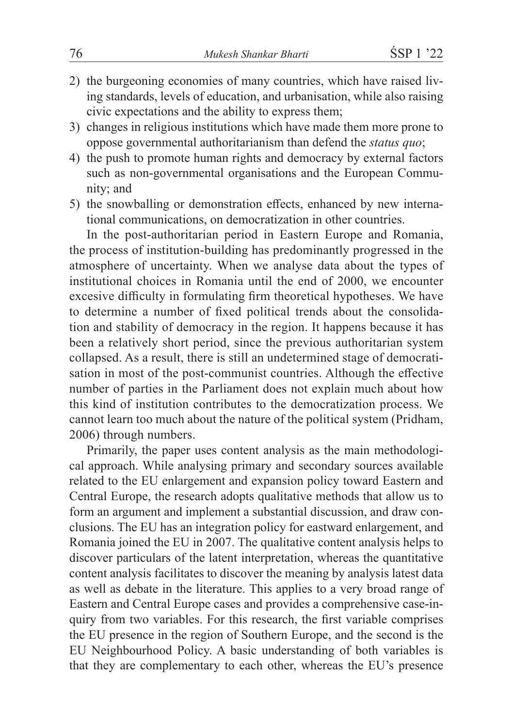- 2) the burgeoning economies of many countries, which have raised living standards, levels of education, and urbanisation, while also raising civic expectations and the ability to express them;
- 3) changes in religious institutions which have made them more prone to oppose governmental authoritarianism than defend the *status quo*;
- 4) the push to promote human rights and democracy by external factors such as non-governmental organisations and the European Community; and
- 5) the snowballing or demonstration effects, enhanced by new international communications, on democratization in other countries.

In the post-authoritarian period in Eastern Europe and Romania, the process of institution-building has predominantly progressed in the atmosphere of uncertainty. When we analyse data about the types of institutional choices in Romania until the end of 2000, we encounter excesive difficulty in formulating firm theoretical hypotheses. We have to determine a number of fixed political trends about the consolidation and stability of democracy in the region. It happens because it has been a relatively short period, since the previous authoritarian system collapsed. As a result, there is still an undetermined stage of democratisation in most of the post-communist countries. Although the effective number of parties in the Parliament does not explain much about how this kind of institution contributes to the democratization process. We cannot learn too much about the nature of the political system (Pridham, 2006) through numbers.

Primarily, the paper uses content analysis as the main methodological approach. While analysing primary and secondary sources available related to the EU enlargement and expansion policy toward Eastern and Central Europe, the research adopts qualitative methods that allow us to form an argument and implement a substantial discussion, and draw conclusions. The EU has an integration policy for eastward enlargement, and Romania joined the EU in 2007. The qualitative content analysis helps to discover particulars of the latent interpretation, whereas the quantitative content analysis facilitates to discover the meaning by analysis latest data as well as debate in the literature. This applies to a very broad range of Eastern and Central Europe cases and provides a comprehensive case-inquiry from two variables. For this research, the first variable comprises the EU presence in the region of Southern Europe, and the second is the EU Neighbourhood Policy. A basic understanding of both variables is that they are complementary to each other, whereas the EU's presence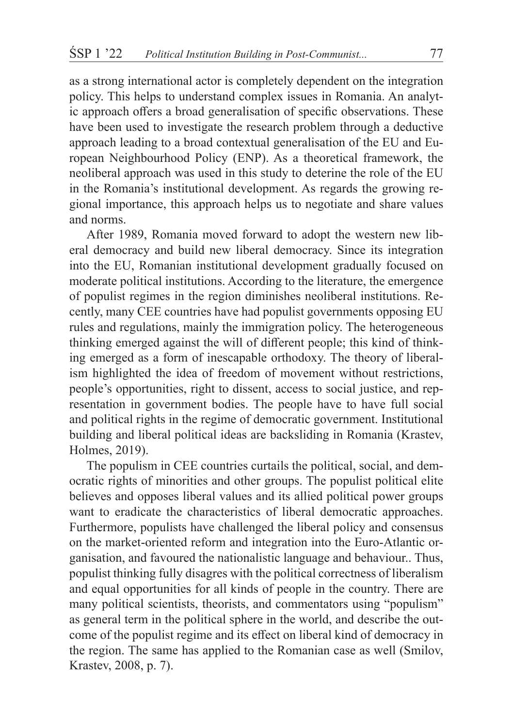as a strong international actor is completely dependent on the integration policy. This helps to understand complex issues in Romania. An analytic approach offers a broad generalisation of specific observations. These have been used to investigate the research problem through a deductive approach leading to a broad contextual generalisation of the EU and European Neighbourhood Policy (ENP). As a theoretical framework, the neoliberal approach was used in this study to deterine the role of the EU in the Romania's institutional development. As regards the growing regional importance, this approach helps us to negotiate and share values and norms.

After 1989, Romania moved forward to adopt the western new liberal democracy and build new liberal democracy. Since its integration into the EU, Romanian institutional development gradually focused on moderate political institutions. According to the literature, the emergence of populist regimes in the region diminishes neoliberal institutions. Recently, many CEE countries have had populist governments opposing EU rules and regulations, mainly the immigration policy. The heterogeneous thinking emerged against the will of different people; this kind of thinking emerged as a form of inescapable orthodoxy. The theory of liberalism highlighted the idea of freedom of movement without restrictions, people's opportunities, right to dissent, access to social justice, and representation in government bodies. The people have to have full social and political rights in the regime of democratic government. Institutional building and liberal political ideas are backsliding in Romania (Krastev, Holmes, 2019).

The populism in CEE countries curtails the political, social, and democratic rights of minorities and other groups. The populist political elite believes and opposes liberal values and its allied political power groups want to eradicate the characteristics of liberal democratic approaches. Furthermore, populists have challenged the liberal policy and consensus on the market-oriented reform and integration into the Euro-Atlantic organisation, and favoured the nationalistic language and behaviour.. Thus, populist thinking fully disagres with the political correctness of liberalism and equal opportunities for all kinds of people in the country. There are many political scientists, theorists, and commentators using "populism" as general term in the political sphere in the world, and describe the outcome of the populist regime and its effect on liberal kind of democracy in the region. The same has applied to the Romanian case as well (Smilov, Krastev, 2008, p. 7).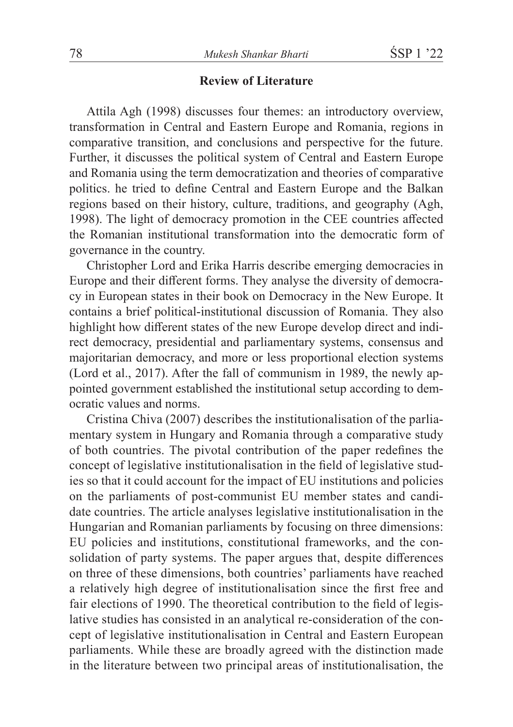## **Review of Literature**

Attila Agh (1998) discusses four themes: an introductory overview, transformation in Central and Eastern Europe and Romania, regions in comparative transition, and conclusions and perspective for the future. Further, it discusses the political system of Central and Eastern Europe and Romania using the term democratization and theories of comparative politics. he tried to define Central and Eastern Europe and the Balkan regions based on their history, culture, traditions, and geography (Agh, 1998). The light of democracy promotion in the CEE countries affected the Romanian institutional transformation into the democratic form of governance in the country.

Christopher Lord and Erika Harris describe emerging democracies in Europe and their different forms. They analyse the diversity of democracy in European states in their book on Democracy in the New Europe. It contains a brief political-institutional discussion of Romania. They also highlight how different states of the new Europe develop direct and indirect democracy, presidential and parliamentary systems, consensus and majoritarian democracy, and more or less proportional election systems (Lord et al., 2017). After the fall of communism in 1989, the newly appointed government established the institutional setup according to democratic values and norms.

Cristina Chiva (2007) describes the institutionalisation of the parliamentary system in Hungary and Romania through a comparative study of both countries. The pivotal contribution of the paper redefines the concept of legislative institutionalisation in the field of legislative studies so that it could account for the impact of EU institutions and policies on the parliaments of post-communist EU member states and candidate countries. The article analyses legislative institutionalisation in the Hungarian and Romanian parliaments by focusing on three dimensions: EU policies and institutions, constitutional frameworks, and the consolidation of party systems. The paper argues that, despite differences on three of these dimensions, both countries' parliaments have reached a relatively high degree of institutionalisation since the first free and fair elections of 1990. The theoretical contribution to the field of legislative studies has consisted in an analytical re-consideration of the concept of legislative institutionalisation in Central and Eastern European parliaments. While these are broadly agreed with the distinction made in the literature between two principal areas of institutionalisation, the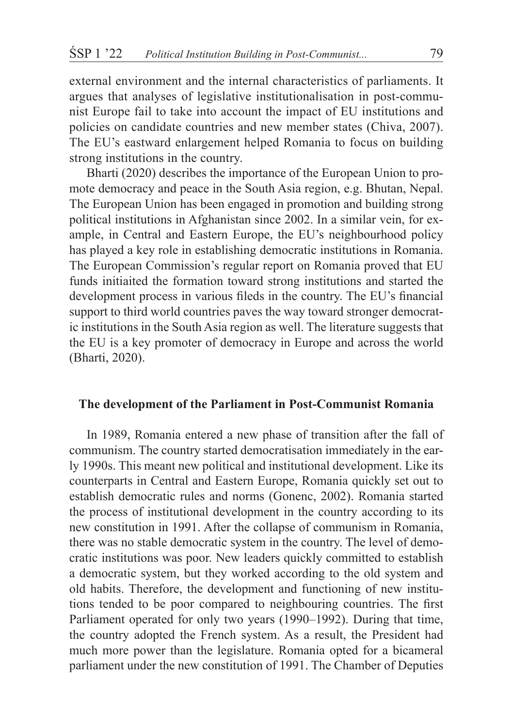external environment and the internal characteristics of parliaments. It argues that analyses of legislative institutionalisation in post-communist Europe fail to take into account the impact of EU institutions and policies on candidate countries and new member states (Chiva, 2007). The EU's eastward enlargement helped Romania to focus on building strong institutions in the country.

Bharti (2020) describes the importance of the European Union to promote democracy and peace in the South Asia region, e.g. Bhutan, Nepal. The European Union has been engaged in promotion and building strong political institutions in Afghanistan since 2002. In a similar vein, for example, in Central and Eastern Europe, the EU's neighbourhood policy has played a key role in establishing democratic institutions in Romania. The European Commission's regular report on Romania proved that EU funds initiaited the formation toward strong institutions and started the development process in various fileds in the country. The EU's financial support to third world countries paves the way toward stronger democratic institutions in the South Asia region as well. The literature suggests that the EU is a key promoter of democracy in Europe and across the world (Bharti, 2020).

#### **The development of the Parliament in Post-Communist Romania**

In 1989, Romania entered a new phase of transition after the fall of communism. The country started democratisation immediately in the early 1990s. This meant new political and institutional development. Like its counterparts in Central and Eastern Europe, Romania quickly set out to establish democratic rules and norms (Gonenc, 2002). Romania started the process of institutional development in the country according to its new constitution in 1991. After the collapse of communism in Romania, there was no stable democratic system in the country. The level of democratic institutions was poor. New leaders quickly committed to establish a democratic system, but they worked according to the old system and old habits. Therefore, the development and functioning of new institutions tended to be poor compared to neighbouring countries. The first Parliament operated for only two years (1990–1992). During that time, the country adopted the French system. As a result, the President had much more power than the legislature. Romania opted for a bicameral parliament under the new constitution of 1991. The Chamber of Deputies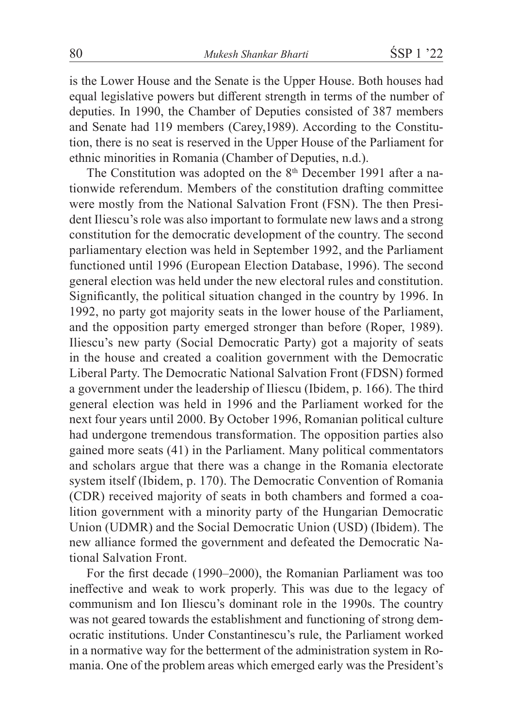is the Lower House and the Senate is the Upper House. Both houses had equal legislative powers but different strength in terms of the number of deputies. In 1990, the Chamber of Deputies consisted of 387 members and Senate had 119 members (Carey,1989). According to the Constitution, there is no seat is reserved in the Upper House of the Parliament for ethnic minorities in Romania (Chamber of Deputies, n.d.).

The Constitution was adopted on the 8<sup>th</sup> December 1991 after a nationwide referendum. Members of the constitution drafting committee were mostly from the National Salvation Front (FSN). The then President Iliescu's role was also important to formulate new laws and a strong constitution for the democratic development of the country. The second parliamentary election was held in September 1992, and the Parliament functioned until 1996 (European Election Database, 1996). The second general election was held under the new electoral rules and constitution. Significantly, the political situation changed in the country by 1996. In 1992, no party got majority seats in the lower house of the Parliament, and the opposition party emerged stronger than before (Roper, 1989). Iliescu's new party (Social Democratic Party) got a majority of seats in the house and created a coalition government with the Democratic Liberal Party. The Democratic National Salvation Front (FDSN) formed a government under the leadership of Iliescu (Ibidem, p. 166). The third general election was held in 1996 and the Parliament worked for the next four years until 2000. By October 1996, Romanian political culture had undergone tremendous transformation. The opposition parties also gained more seats (41) in the Parliament. Many political commentators and scholars argue that there was a change in the Romania electorate system itself (Ibidem, p. 170). The Democratic Convention of Romania (CDR) received majority of seats in both chambers and formed a coalition government with a minority party of the Hungarian Democratic Union (UDMR) and the Social Democratic Union (USD) (Ibidem). The new alliance formed the government and defeated the Democratic National Salvation Front.

For the first decade (1990–2000), the Romanian Parliament was too ineffective and weak to work properly. This was due to the legacy of communism and Ion Iliescu's dominant role in the 1990s. The country was not geared towards the establishment and functioning of strong democratic institutions. Under Constantinescu's rule, the Parliament worked in a normative way for the betterment of the administration system in Romania. One of the problem areas which emerged early was the President's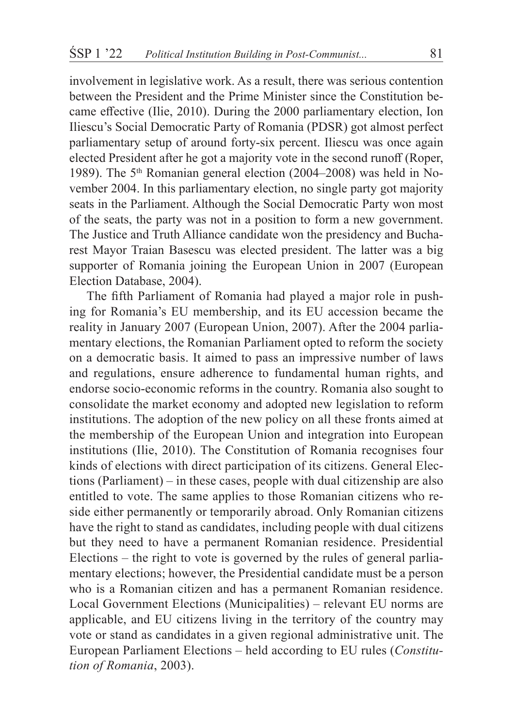involvement in legislative work. As a result, there was serious contention between the President and the Prime Minister since the Constitution became effective (Ilie, 2010). During the 2000 parliamentary election, Ion Iliescu's Social Democratic Party of Romania (PDSR) got almost perfect parliamentary setup of around forty-six percent. Iliescu was once again elected President after he got a majority vote in the second runoff (Roper, 1989). The  $5<sup>th</sup>$  Romanian general election (2004–2008) was held in November 2004. In this parliamentary election, no single party got majority seats in the Parliament. Although the Social Democratic Party won most of the seats, the party was not in a position to form a new government. The Justice and Truth Alliance candidate won the presidency and Bucharest Mayor Traian Basescu was elected president. The latter was a big supporter of Romania joining the European Union in 2007 (European Election Database, 2004).

The fifth Parliament of Romania had played a major role in pushing for Romania's EU membership, and its EU accession became the reality in January 2007 (European Union, 2007). After the 2004 parliamentary elections, the Romanian Parliament opted to reform the society on a democratic basis. It aimed to pass an impressive number of laws and regulations, ensure adherence to fundamental human rights, and endorse socio-economic reforms in the country. Romania also sought to consolidate the market economy and adopted new legislation to reform institutions. The adoption of the new policy on all these fronts aimed at the membership of the European Union and integration into European institutions (Ilie, 2010). The Constitution of Romania recognises four kinds of elections with direct participation of its citizens. General Elections (Parliament) – in these cases, people with dual citizenship are also entitled to vote. The same applies to those Romanian citizens who reside either permanently or temporarily abroad. Only Romanian citizens have the right to stand as candidates, including people with dual citizens but they need to have a permanent Romanian residence. Presidential Elections – the right to vote is governed by the rules of general parliamentary elections; however, the Presidential candidate must be a person who is a Romanian citizen and has a permanent Romanian residence. Local Government Elections (Municipalities) – relevant EU norms are applicable, and EU citizens living in the territory of the country may vote or stand as candidates in a given regional administrative unit. The European Parliament Elections – held according to EU rules (*Constitution of Romania*, 2003).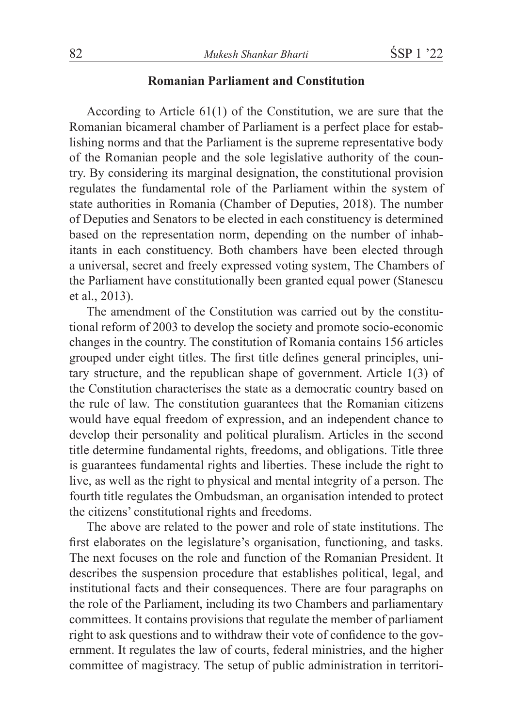## **Romanian Parliament and Constitution**

According to Article 61(1) of the Constitution, we are sure that the Romanian bicameral chamber of Parliament is a perfect place for establishing norms and that the Parliament is the supreme representative body of the Romanian people and the sole legislative authority of the country. By considering its marginal designation, the constitutional provision regulates the fundamental role of the Parliament within the system of state authorities in Romania (Chamber of Deputies, 2018). The number of Deputies and Senators to be elected in each constituency is determined based on the representation norm, depending on the number of inhabitants in each constituency. Both chambers have been elected through a universal, secret and freely expressed voting system, The Chambers of the Parliament have constitutionally been granted equal power (Stanescu et al., 2013).

The amendment of the Constitution was carried out by the constitutional reform of 2003 to develop the society and promote socio-economic changes in the country. The constitution of Romania contains 156 articles grouped under eight titles. The first title defines general principles, unitary structure, and the republican shape of government. Article 1(3) of the Constitution characterises the state as a democratic country based on the rule of law. The constitution guarantees that the Romanian citizens would have equal freedom of expression, and an independent chance to develop their personality and political pluralism. Articles in the second title determine fundamental rights, freedoms, and obligations. Title three is guarantees fundamental rights and liberties. These include the right to live, as well as the right to physical and mental integrity of a person. The fourth title regulates the Ombudsman, an organisation intended to protect the citizens' constitutional rights and freedoms.

The above are related to the power and role of state institutions. The first elaborates on the legislature's organisation, functioning, and tasks. The next focuses on the role and function of the Romanian President. It describes the suspension procedure that establishes political, legal, and institutional facts and their consequences. There are four paragraphs on the role of the Parliament, including its two Chambers and parliamentary committees. It contains provisions that regulate the member of parliament right to ask questions and to withdraw their vote of confidence to the government. It regulates the law of courts, federal ministries, and the higher committee of magistracy. The setup of public administration in territori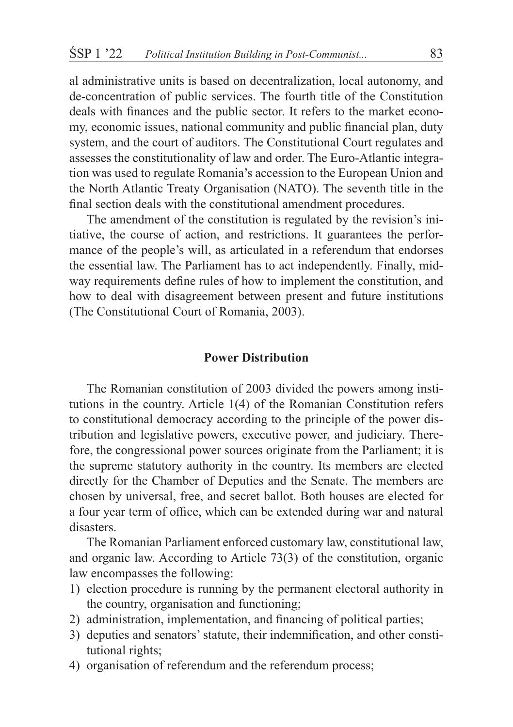al administrative units is based on decentralization, local autonomy, and de-concentration of public services. The fourth title of the Constitution deals with finances and the public sector. It refers to the market economy, economic issues, national community and public financial plan, duty system, and the court of auditors. The Constitutional Court regulates and assesses the constitutionality of law and order. The Euro-Atlantic integration was used to regulate Romania's accession to the European Union and the North Atlantic Treaty Organisation (NATO). The seventh title in the final section deals with the constitutional amendment procedures.

The amendment of the constitution is regulated by the revision's initiative, the course of action, and restrictions. It guarantees the performance of the people's will, as articulated in a referendum that endorses the essential law. The Parliament has to act independently. Finally, midway requirements define rules of how to implement the constitution, and how to deal with disagreement between present and future institutions (The Constitutional Court of Romania, 2003).

#### **Power Distribution**

The Romanian constitution of 2003 divided the powers among institutions in the country. Article 1(4) of the Romanian Constitution refers to constitutional democracy according to the principle of the power distribution and legislative powers, executive power, and judiciary. Therefore, the congressional power sources originate from the Parliament; it is the supreme statutory authority in the country. Its members are elected directly for the Chamber of Deputies and the Senate. The members are chosen by universal, free, and secret ballot. Both houses are elected for a four year term of office, which can be extended during war and natural disasters.

The Romanian Parliament enforced customary law, constitutional law, and organic law. According to Article 73(3) of the constitution, organic law encompasses the following:

- 1) election procedure is running by the permanent electoral authority in the country, organisation and functioning;
- 2) administration, implementation, and financing of political parties;
- 3) deputies and senators' statute, their indemnification, and other constitutional rights;
- 4) organisation of referendum and the referendum process;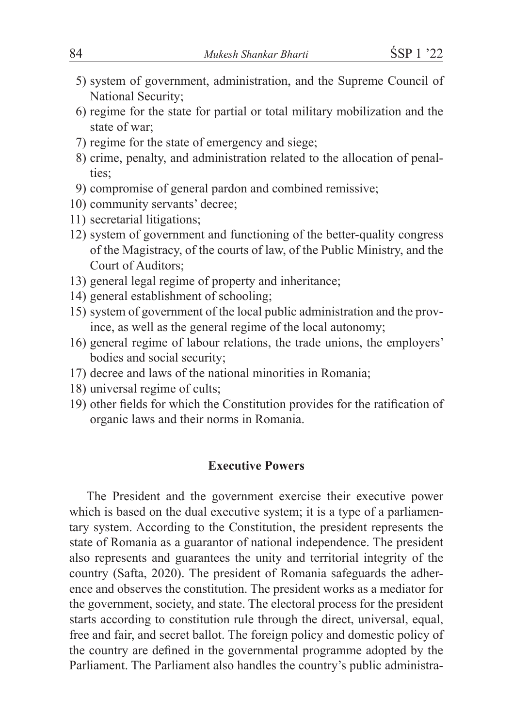- 5) system of government, administration, and the Supreme Council of National Security;
- 6) regime for the state for partial or total military mobilization and the state of war;
- 7) regime for the state of emergency and siege;
- 8) crime, penalty, and administration related to the allocation of penalties;
- 9) compromise of general pardon and combined remissive;
- 10) community servants' decree;
- 11) secretarial litigations;
- 12) system of government and functioning of the better-quality congress of the Magistracy, of the courts of law, of the Public Ministry, and the Court of Auditors;
- 13) general legal regime of property and inheritance;
- 14) general establishment of schooling;
- 15) system of government of the local public administration and the province, as well as the general regime of the local autonomy;
- 16) general regime of labour relations, the trade unions, the employers' bodies and social security;
- 17) decree and laws of the national minorities in Romania;
- 18) universal regime of cults;
- 19) other fields for which the Constitution provides for the ratification of organic laws and their norms in Romania.

# **Executive Powers**

The President and the government exercise their executive power which is based on the dual executive system; it is a type of a parliamentary system. According to the Constitution, the president represents the state of Romania as a guarantor of national independence. The president also represents and guarantees the unity and territorial integrity of the country (Safta, 2020). The president of Romania safeguards the adherence and observes the constitution. The president works as a mediator for the government, society, and state. The electoral process for the president starts according to constitution rule through the direct, universal, equal, free and fair, and secret ballot. The foreign policy and domestic policy of the country are defined in the governmental programme adopted by the Parliament. The Parliament also handles the country's public administra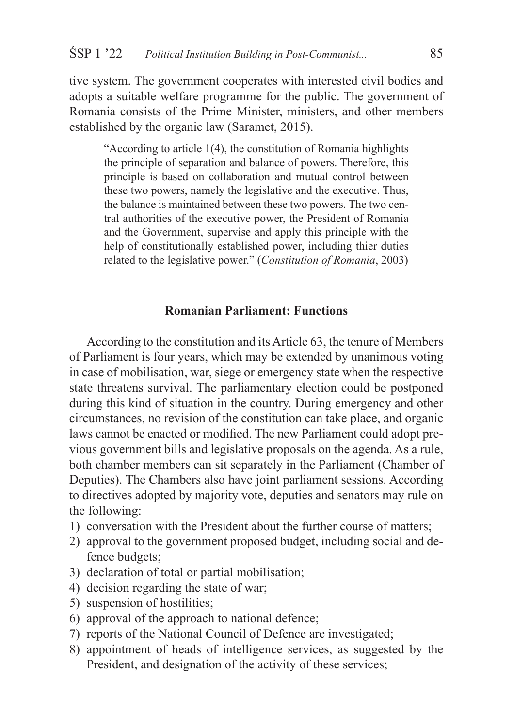tive system. The government cooperates with interested civil bodies and adopts a suitable welfare programme for the public. The government of Romania consists of the Prime Minister, ministers, and other members established by the organic law (Saramet, 2015).

"According to article 1(4), the constitution of Romania highlights the principle of separation and balance of powers. Therefore, this principle is based on collaboration and mutual control between these two powers, namely the legislative and the executive. Thus, the balance is maintained between these two powers. The two central authorities of the executive power, the President of Romania and the Government, supervise and apply this principle with the help of constitutionally established power, including thier duties related to the legislative power." (*Constitution of Romania*, 2003)

## **Romanian Parliament: Functions**

According to the constitution and its Article 63, the tenure of Members of Parliament is four years, which may be extended by unanimous voting in case of mobilisation, war, siege or emergency state when the respective state threatens survival. The parliamentary election could be postponed during this kind of situation in the country. During emergency and other circumstances, no revision of the constitution can take place, and organic laws cannot be enacted or modified. The new Parliament could adopt previous government bills and legislative proposals on the agenda. As a rule, both chamber members can sit separately in the Parliament (Chamber of Deputies). The Chambers also have joint parliament sessions. According to directives adopted by majority vote, deputies and senators may rule on the following:

- 1) conversation with the President about the further course of matters;
- 2) approval to the government proposed budget, including social and defence budgets;
- 3) declaration of total or partial mobilisation;
- 4) decision regarding the state of war;
- 5) suspension of hostilities;
- 6) approval of the approach to national defence;
- 7) reports of the National Council of Defence are investigated;
- 8) appointment of heads of intelligence services, as suggested by the President, and designation of the activity of these services;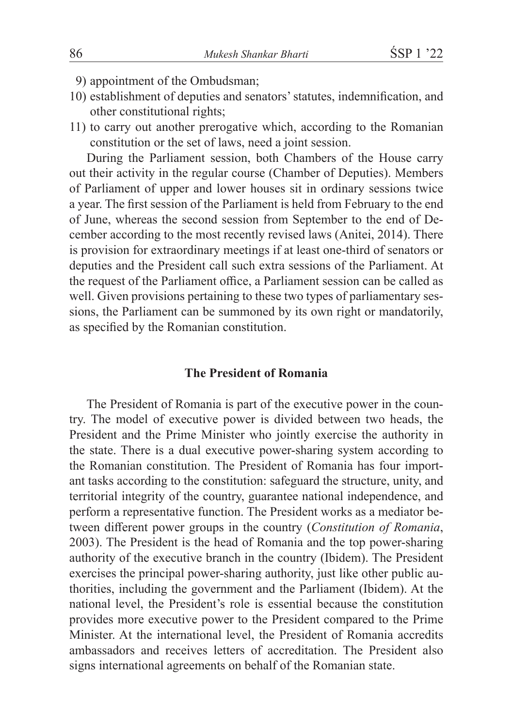- 9) appointment of the Ombudsman;
- 10) establishment of deputies and senators' statutes, indemnification, and other constitutional rights;
- 11) to carry out another prerogative which, according to the Romanian constitution or the set of laws, need a joint session.

During the Parliament session, both Chambers of the House carry out their activity in the regular course (Chamber of Deputies). Members of Parliament of upper and lower houses sit in ordinary sessions twice a year. The first session of the Parliament is held from February to the end of June, whereas the second session from September to the end of December according to the most recently revised laws (Anitei, 2014). There is provision for extraordinary meetings if at least one-third of senators or deputies and the President call such extra sessions of the Parliament. At the request of the Parliament office, a Parliament session can be called as well. Given provisions pertaining to these two types of parliamentary sessions, the Parliament can be summoned by its own right or mandatorily, as specified by the Romanian constitution.

# **The President of Romania**

The President of Romania is part of the executive power in the country. The model of executive power is divided between two heads, the President and the Prime Minister who jointly exercise the authority in the state. There is a dual executive power-sharing system according to the Romanian constitution. The President of Romania has four important tasks according to the constitution: safeguard the structure, unity, and territorial integrity of the country, guarantee national independence, and perform a representative function. The President works as a mediator between different power groups in the country (*Constitution of Romania*, 2003). The President is the head of Romania and the top power-sharing authority of the executive branch in the country (Ibidem). The President exercises the principal power-sharing authority, just like other public authorities, including the government and the Parliament (Ibidem). At the national level, the President's role is essential because the constitution provides more executive power to the President compared to the Prime Minister. At the international level, the President of Romania accredits ambassadors and receives letters of accreditation. The President also signs international agreements on behalf of the Romanian state.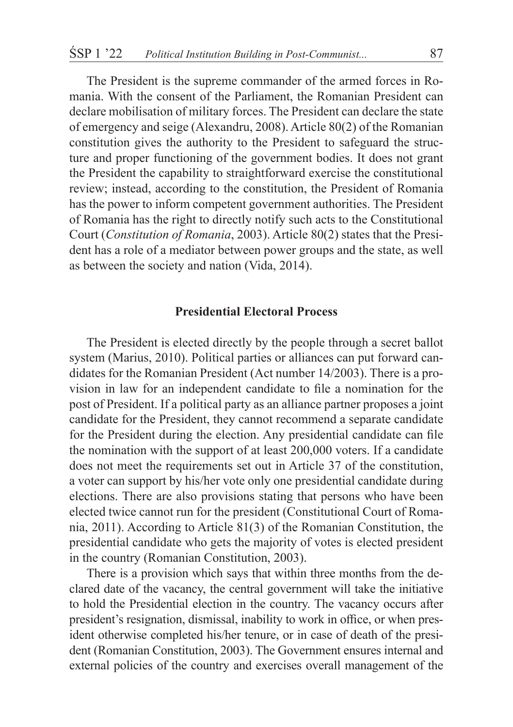The President is the supreme commander of the armed forces in Romania. With the consent of the Parliament, the Romanian President can declare mobilisation of military forces. The President can declare the state of emergency and seige (Alexandru, 2008). Article 80(2) of the Romanian constitution gives the authority to the President to safeguard the structure and proper functioning of the government bodies. It does not grant the President the capability to straightforward exercise the constitutional review; instead, according to the constitution, the President of Romania has the power to inform competent government authorities. The President of Romania has the right to directly notify such acts to the Constitutional Court (*Constitution of Romania*, 2003). Article 80(2) states that the President has a role of a mediator between power groups and the state, as well as between the society and nation (Vida, 2014).

## **Presidential Electoral Process**

The President is elected directly by the people through a secret ballot system (Marius, 2010). Political parties or alliances can put forward candidates for the Romanian President (Act number 14/2003). There is a provision in law for an independent candidate to file a nomination for the post of President. If a political party as an alliance partner proposes a joint candidate for the President, they cannot recommend a separate candidate for the President during the election. Any presidential candidate can file the nomination with the support of at least 200,000 voters. If a candidate does not meet the requirements set out in Article 37 of the constitution, a voter can support by his/her vote only one presidential candidate during elections. There are also provisions stating that persons who have been elected twice cannot run for the president (Constitutional Court of Romania, 2011). According to Article 81(3) of the Romanian Constitution, the presidential candidate who gets the majority of votes is elected president in the country (Romanian Constitution, 2003).

There is a provision which says that within three months from the declared date of the vacancy, the central government will take the initiative to hold the Presidential election in the country. The vacancy occurs after president's resignation, dismissal, inability to work in office, or when president otherwise completed his/her tenure, or in case of death of the president (Romanian Constitution, 2003). The Government ensures internal and external policies of the country and exercises overall management of the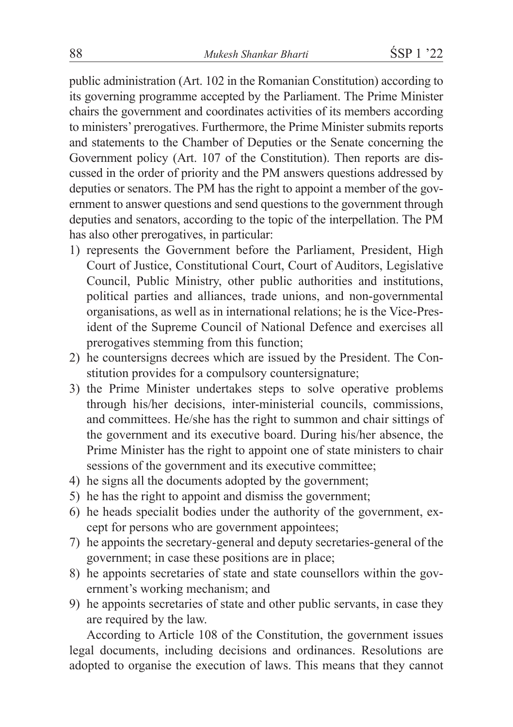public administration (Art. 102 in the Romanian Constitution) according to its governing programme accepted by the Parliament. The Prime Minister chairs the government and coordinates activities of its members according to ministers' prerogatives. Furthermore, the Prime Minister submits reports and statements to the Chamber of Deputies or the Senate concerning the Government policy (Art. 107 of the Constitution). Then reports are discussed in the order of priority and the PM answers questions addressed by deputies or senators. The PM has the right to appoint a member of the government to answer questions and send questions to the government through deputies and senators, according to the topic of the interpellation. The PM has also other prerogatives, in particular:

- 1) represents the Government before the Parliament, President, High Court of Justice, Constitutional Court, Court of Auditors, Legislative Council, Public Ministry, other public authorities and institutions, political parties and alliances, trade unions, and non-governmental organisations, as well as in international relations; he is the Vice-President of the Supreme Council of National Defence and exercises all prerogatives stemming from this function;
- 2) he countersigns decrees which are issued by the President. The Constitution provides for a compulsory countersignature;
- 3) the Prime Minister undertakes steps to solve operative problems through his/her decisions, inter-ministerial councils, commissions, and committees. He/she has the right to summon and chair sittings of the government and its executive board. During his/her absence, the Prime Minister has the right to appoint one of state ministers to chair sessions of the government and its executive committee;
- 4) he signs all the documents adopted by the government;
- 5) he has the right to appoint and dismiss the government;
- 6) he heads specialit bodies under the authority of the government, except for persons who are government appointees;
- 7) he appoints the secretary-general and deputy secretaries-general of the government; in case these positions are in place;
- 8) he appoints secretaries of state and state counsellors within the government's working mechanism; and
- 9) he appoints secretaries of state and other public servants, in case they are required by the law.

According to Article 108 of the Constitution, the government issues legal documents, including decisions and ordinances. Resolutions are adopted to organise the execution of laws. This means that they cannot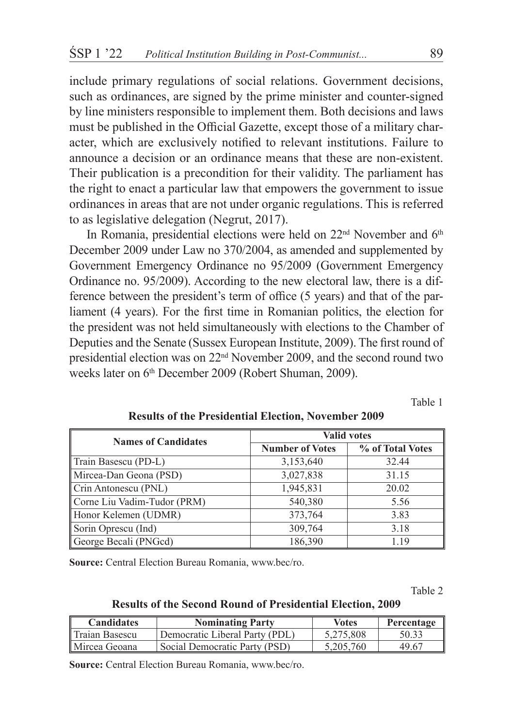include primary regulations of social relations. Government decisions, such as ordinances, are signed by the prime minister and counter-signed by line ministers responsible to implement them. Both decisions and laws must be published in the Official Gazette, except those of a military character, which are exclusively notified to relevant institutions. Failure to announce a decision or an ordinance means that these are non-existent. Their publication is a precondition for their validity. The parliament has the right to enact a particular law that empowers the government to issue ordinances in areas that are not under organic regulations. This is referred to as legislative delegation (Negrut, 2017).

In Romania, presidential elections were held on  $22<sup>nd</sup>$  November and  $6<sup>th</sup>$ December 2009 under Law no 370/2004, as amended and supplemented by Government Emergency Ordinance no 95/2009 (Government Emergency Ordinance no. 95/2009). According to the new electoral law, there is a difference between the president's term of office (5 years) and that of the parliament (4 years). For the first time in Romanian politics, the election for the president was not held simultaneously with elections to the Chamber of Deputies and the Senate (Sussex European Institute, 2009). The first round of presidential election was on 22nd November 2009, and the second round two weeks later on 6<sup>th</sup> December 2009 (Robert Shuman, 2009).

Table 1

| <b>Names of Candidates</b>  | <b>Valid votes</b>     |                  |  |
|-----------------------------|------------------------|------------------|--|
|                             | <b>Number of Votes</b> | % of Total Votes |  |
| Train Basescu (PD-L)        | 3,153,640              | 32.44            |  |
| Mircea-Dan Geona (PSD)      | 3,027,838              | 31.15            |  |
| Crin Antonescu (PNL)        | 1,945,831              | 20.02            |  |
| Corne Liu Vadim-Tudor (PRM) | 540,380                | 5.56             |  |
| Honor Kelemen (UDMR)        | 373,764                | 3.83             |  |
| Sorin Oprescu (Ind)         | 309,764                | 3.18             |  |
| George Becali (PNGcd)       | 186,390                | 1.19             |  |

#### **Results of the Presidential Election, November 2009**

**Source:** Central Election Bureau Romania, www.bec/ro.

Table 2

**Results of the Second Round of Presidential Election, 2009**

| <b>Candidates</b> | <b>Nominating Party</b>        | <b>Votes</b> | Percentage |
|-------------------|--------------------------------|--------------|------------|
| Traian Basescu    | Democratic Liberal Party (PDL) | 5.275.808    | 50.33      |
| Mircea Geoana     | Social Democratic Party (PSD)  | 5.205.760    | 49.67      |

**Source:** Central Election Bureau Romania, www.bec/ro.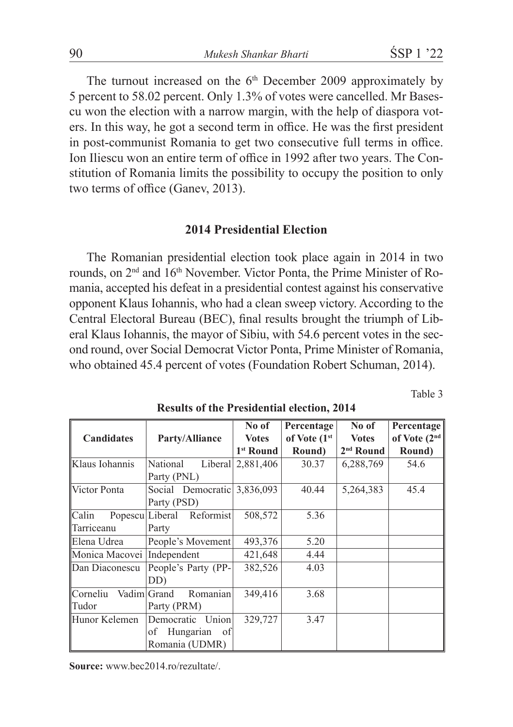The turnout increased on the  $6<sup>th</sup>$  December 2009 approximately by 5 percent to 58.02 percent. Only 1.3% of votes were cancelled. Mr Basescu won the election with a narrow margin, with the help of diaspora voters. In this way, he got a second term in office. He was the first president in post-communist Romania to get two consecutive full terms in office. Ion Iliescu won an entire term of office in 1992 after two years. The Constitution of Romania limits the possibility to occupy the position to only two terms of office (Ganev, 2013).

## **2014 Presidential Election**

The Romanian presidential election took place again in 2014 in two rounds, on 2<sup>nd</sup> and 16<sup>th</sup> November. Victor Ponta, the Prime Minister of Romania, accepted his defeat in a presidential contest against his conservative opponent Klaus Iohannis, who had a clean sweep victory. According to the Central Electoral Bureau (BEC), final results brought the triumph of Liberal Klaus Iohannis, the mayor of Sibiu, with 54.6 percent votes in the second round, over Social Democrat Victor Ponta, Prime Minister of Romania, who obtained 45.4 percent of votes (Foundation Robert Schuman, 2014).

Table 3

|                            |                           | No of                 | Percentage   | No of        | Percentage               |
|----------------------------|---------------------------|-----------------------|--------------|--------------|--------------------------|
| <b>Candidates</b>          | Party/Alliance            | <b>Votes</b>          | of Vote (1st | <b>Votes</b> | of Vote (2 <sup>nd</sup> |
|                            |                           | 1 <sup>st</sup> Round | Round)       | $2nd$ Round  | Round)                   |
| Klaus Iohannis             | National                  | Liberal 2,881,406     | 30.37        | 6,288,769    | 54.6                     |
|                            | Party (PNL)               |                       |              |              |                          |
| Victor Ponta               | Social Democratic         | 3,836,093             | 40.44        | 5,264,383    | 45.4                     |
|                            | Party (PSD)               |                       |              |              |                          |
| Calin                      | Popescu Liberal Reformist | 508,572               | 5.36         |              |                          |
| Tarriceanu                 | Party                     |                       |              |              |                          |
| Elena Udrea                | People's Movement         | 493,376               | 5.20         |              |                          |
| Monica Macovei Independent |                           | 421,648               | 4.44         |              |                          |
| Dan Diaconescu             | People's Party (PP-       | 382,526               | 4.03         |              |                          |
|                            | DD)                       |                       |              |              |                          |
| Corneliu                   | Romanian<br>Vadim Grand   | 349,416               | 3.68         |              |                          |
| Tudor                      | Party (PRM)               |                       |              |              |                          |
| Hunor Kelemen              | Union<br>Democratic       | 329,727               | 3.47         |              |                          |
|                            | Hungarian<br>of<br>of     |                       |              |              |                          |
|                            | Romania (UDMR)            |                       |              |              |                          |

**Results of the Presidential election, 2014**

**Source:** www.bec2014.ro/rezultate/.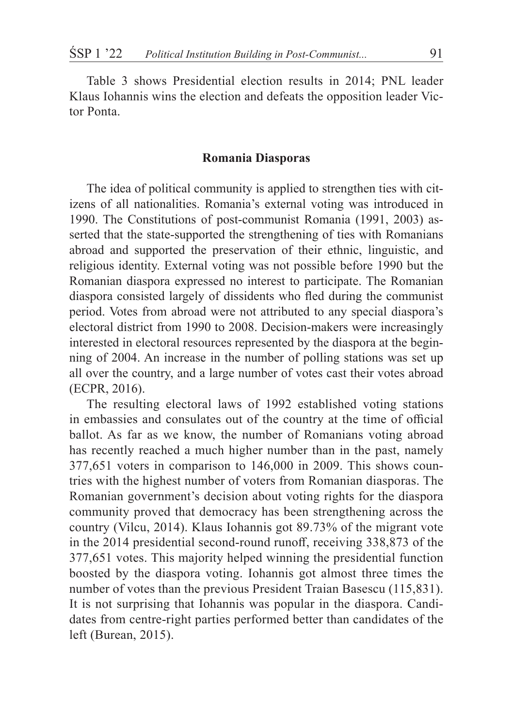Table 3 shows Presidential election results in 2014; PNL leader Klaus Iohannis wins the election and defeats the opposition leader Victor Ponta.

#### **Romania Diasporas**

The idea of political community is applied to strengthen ties with citizens of all nationalities. Romania's external voting was introduced in 1990. The Constitutions of post-communist Romania (1991, 2003) asserted that the state-supported the strengthening of ties with Romanians abroad and supported the preservation of their ethnic, linguistic, and religious identity. External voting was not possible before 1990 but the Romanian diaspora expressed no interest to participate. The Romanian diaspora consisted largely of dissidents who fled during the communist period. Votes from abroad were not attributed to any special diaspora's electoral district from 1990 to 2008. Decision-makers were increasingly interested in electoral resources represented by the diaspora at the beginning of 2004. An increase in the number of polling stations was set up all over the country, and a large number of votes cast their votes abroad (ECPR, 2016).

The resulting electoral laws of 1992 established voting stations in embassies and consulates out of the country at the time of official ballot. As far as we know, the number of Romanians voting abroad has recently reached a much higher number than in the past, namely 377,651 voters in comparison to 146,000 in 2009. This shows countries with the highest number of voters from Romanian diasporas. The Romanian government's decision about voting rights for the diaspora community proved that democracy has been strengthening across the country (Vilcu, 2014). Klaus Iohannis got 89.73% of the migrant vote in the 2014 presidential second-round runoff, receiving 338,873 of the 377,651 votes. This majority helped winning the presidential function boosted by the diaspora voting. Iohannis got almost three times the number of votes than the previous President Traian Basescu (115,831). It is not surprising that Iohannis was popular in the diaspora. Candidates from centre-right parties performed better than candidates of the left (Burean, 2015).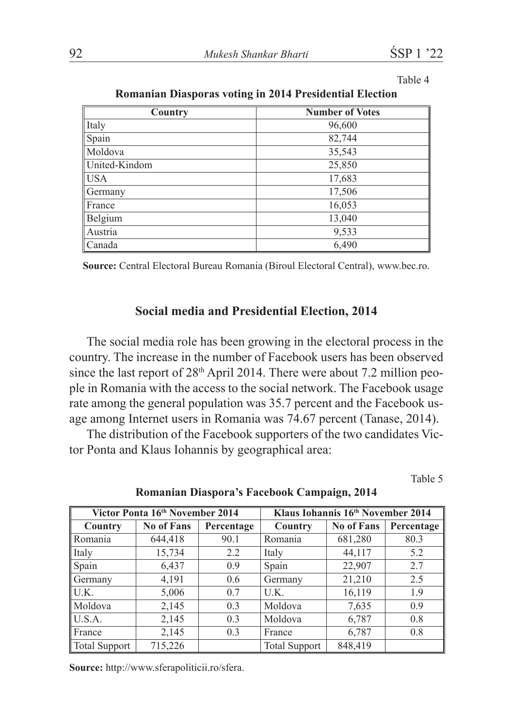Table 4

| Country       | <b>Number of Votes</b> |
|---------------|------------------------|
| Italy         | 96,600                 |
| Spain         | 82,744                 |
| Moldova       | 35,543                 |
| United-Kindom | 25,850                 |
| l USA         | 17,683                 |
| Germany       | 17,506                 |
| France        | 16,053                 |
| Belgium       | 13,040                 |
| Austria       | 9,533                  |
| l Canada      | 6,490                  |

**Romanian Diasporas voting in 2014 Presidential Election**

**Source:** Central Electoral Bureau Romania (Biroul Electoral Central), www.bec.ro.

## **Social media and Presidential Election, 2014**

The social media role has been growing in the electoral process in the country. The increase in the number of Facebook users has been observed since the last report of  $28<sup>th</sup>$  April 2014. There were about 7.2 million people in Romania with the access to the social network. The Facebook usage rate among the general population was 35.7 percent and the Facebook usage among Internet users in Romania was 74.67 percent (Tanase, 2014).

The distribution of the Facebook supporters of the two candidates Victor Ponta and Klaus Iohannis by geographical area:

Table 5

| Victor Ponta 16th November 2014 |                   | Klaus Iohannis 16th November 2014 |                      |                   |            |
|---------------------------------|-------------------|-----------------------------------|----------------------|-------------------|------------|
| Country                         | <b>No of Fans</b> | Percentage                        | Country              | <b>No of Fans</b> | Percentage |
| Romania                         | 644,418           | 90.1                              | Romania              | 681,280           | 80.3       |
| Italy                           | 15,734            | 2.2                               | Italy                | 44,117            | 5.2        |
| Spain                           | 6,437             | 0.9                               | Spain                | 22,907            | 2.7        |
| Germany                         | 4,191             | 0.6                               | Germany              | 21,210            | 2.5        |
| U.K.                            | 5,006             | 0.7                               | U.K.                 | 16,119            | 1.9        |
| Moldova                         | 2,145             | 0.3                               | Moldova              | 7,635             | 0.9        |
| U.S.A.                          | 2,145             | 0.3                               | Moldova              | 6,787             | 0.8        |
| France                          | 2,145             | 0.3                               | France               | 6,787             | 0.8        |
| <b>Total Support</b>            | 715,226           |                                   | <b>Total Support</b> | 848,419           |            |

**Romanian Diaspora's Facebook Campaign, 2014**

**Source:** http://www.sferapoliticii.ro/sfera.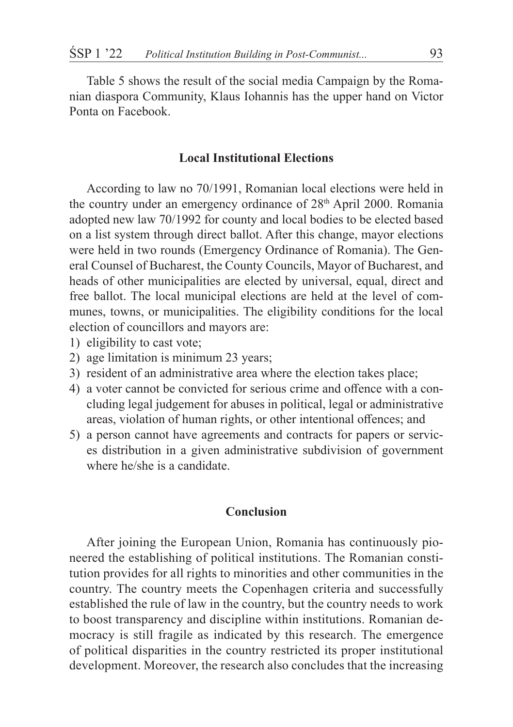Table 5 shows the result of the social media Campaign by the Romanian diaspora Community, Klaus Iohannis has the upper hand on Victor Ponta on Facebook.

#### **Local Institutional Elections**

According to law no 70/1991, Romanian local elections were held in the country under an emergency ordinance of 28th April 2000. Romania adopted new law 70/1992 for county and local bodies to be elected based on a list system through direct ballot. After this change, mayor elections were held in two rounds (Emergency Ordinance of Romania). The General Counsel of Bucharest, the County Councils, Mayor of Bucharest, and heads of other municipalities are elected by universal, equal, direct and free ballot. The local municipal elections are held at the level of communes, towns, or municipalities. The eligibility conditions for the local election of councillors and mayors are:

- 1) eligibility to cast vote;
- 2) age limitation is minimum 23 years;
- 3) resident of an administrative area where the election takes place;
- 4) a voter cannot be convicted for serious crime and offence with a concluding legal judgement for abuses in political, legal or administrative areas, violation of human rights, or other intentional offences; and
- 5) a person cannot have agreements and contracts for papers or services distribution in a given administrative subdivision of government where he/she is a candidate.

## **Conclusion**

After joining the European Union, Romania has continuously pioneered the establishing of political institutions. The Romanian constitution provides for all rights to minorities and other communities in the country. The country meets the Copenhagen criteria and successfully established the rule of law in the country, but the country needs to work to boost transparency and discipline within institutions. Romanian democracy is still fragile as indicated by this research. The emergence of political disparities in the country restricted its proper institutional development. Moreover, the research also concludes that the increasing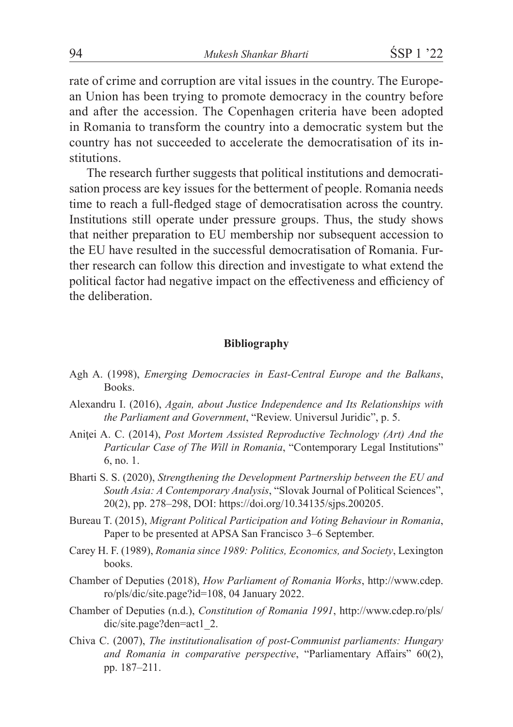rate of crime and corruption are vital issues in the country. The European Union has been trying to promote democracy in the country before and after the accession. The Copenhagen criteria have been adopted in Romania to transform the country into a democratic system but the country has not succeeded to accelerate the democratisation of its institutions.

The research further suggests that political institutions and democratisation process are key issues for the betterment of people. Romania needs time to reach a full-fledged stage of democratisation across the country. Institutions still operate under pressure groups. Thus, the study shows that neither preparation to EU membership nor subsequent accession to the EU have resulted in the successful democratisation of Romania. Further research can follow this direction and investigate to what extend the political factor had negative impact on the effectiveness and efficiency of the deliberation.

#### **Bibliography**

- Agh A. (1998), *Emerging Democracies in East-Central Europe and the Balkans*, Books.
- Alexandru I. (2016), *Again, about Justice Independence and Its Relationships with the Parliament and Government*, "Review. Universul Juridic", p. 5.
- Aniţei A. C. (2014), *Post Mortem Assisted Reproductive Technology (Art) And the Particular Case of The Will in Romania*, "Contemporary Legal Institutions" 6, no. 1.
- Bharti S. S. (2020), *Strengthening the Development Partnership between the EU and South Asia: A Contemporary Analysis*, "Slovak Journal of Political Sciences", 20(2), pp. 278–298, DOI: https://doi.org/10.34135/sjps.200205.
- Bureau T. (2015), *Migrant Political Participation and Voting Behaviour in Romania*, Paper to be presented at APSA San Francisco 3–6 September.
- Carey H. F. (1989), *Romania since 1989: Politics, Economics, and Society*, Lexington books.
- Chamber of Deputies (2018), *How Parliament of Romania Works*, http://www.cdep. ro/pls/dic/site.page?id=108, 04 January 2022.
- Chamber of Deputies (n.d.), *Constitution of Romania 1991*, http://www.cdep.ro/pls/ dic/site.page?den=act1\_2.
- Chiva C. (2007), *The institutionalisation of post-Communist parliaments: Hungary and Romania in comparative perspective*, "Parliamentary Affairs" 60(2), pp. 187–211.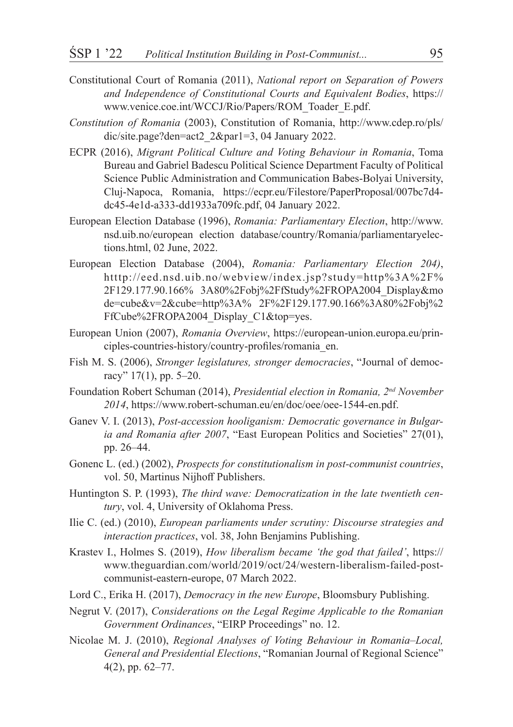- Constitutional Court of Romania (2011), *National report on Separation of Powers and Independence of Constitutional Courts and Equivalent Bodies*, https:// www.venice.coe.int/WCCJ/Rio/Papers/ROM\_Toader\_E.pdf.
- *Constitution of Romania* (2003), Constitution of Romania, http://www.cdep.ro/pls/ dic/site.page?den=act2 2&par1=3, 04 January 2022.
- ECPR (2016), *Migrant Political Culture and Voting Behaviour in Romania*, Toma Bureau and Gabriel Badescu Political Science Department Faculty of Political Science Public Administration and Communication Babes-Bolyai University, Cluj-Napoca, Romania, https://ecpr.eu/Filestore/PaperProposal/007bc7d4 dc45-4e1d-a333-dd1933a709fc.pdf, 04 January 2022.
- European Election Database (1996), *Romania: Parliamentary Election*, http://www. nsd.uib.no/european election database/country/Romania/parliamentaryelections.html, 02 June, 2022.
- European Election Database (2004), *Romania: Parliamentary Election 204)*, htttp://eed.nsd.uib.no/webview/index.jsp?study=http%3A%2F% 2F129.177.90.166% 3A80%2Fobj%2FfStudy%2FROPA2004\_Display&mo de=cube&v=2&cube=http%3A% 2F%2F129.177.90.166%3A80%2Fobj%2 FfCube%2FROPA2004\_Display\_C1&top=yes.
- European Union (2007), *Romania Overview*, https://european-union.europa.eu/principles-countries-history/country-profiles/romania\_en.
- Fish M. S. (2006), *Stronger legislatures, stronger democracies*, "Journal of democracy" 17(1), pp. 5–20.
- Foundation Robert Schuman (2014), *Presidential election in Romania, 2nd November 2014*, https://www.robert-schuman.eu/en/doc/oee/oee-1544-en.pdf.
- Ganev V. I. (2013), *Post-accession hooliganism: Democratic governance in Bulgaria and Romania after 2007*, "East European Politics and Societies" 27(01), pp. 26–44.
- Gonenc L. (ed.) (2002), *Prospects for constitutionalism in post-communist countries*, vol. 50, Martinus Nijhoff Publishers.
- Huntington S. P. (1993), *The third wave: Democratization in the late twentieth century*, vol. 4, University of Oklahoma Press.
- Ilie C. (ed.) (2010), *European parliaments under scrutiny: Discourse strategies and interaction practices*, vol. 38, John Benjamins Publishing.
- Krastev I., Holmes S. (2019), *How liberalism became 'the god that failed'*, https:// www.theguardian.com/world/2019/oct/24/western-liberalism-failed-postcommunist-eastern-europe, 07 March 2022.
- Lord C., Erika H. (2017), *Democracy in the new Europe*, Bloomsbury Publishing.
- Negrut V. (2017), *Considerations on the Legal Regime Applicable to the Romanian Government Ordinances*, "EIRP Proceedings" no. 12.
- Nicolae M. J. (2010), *Regional Analyses of Voting Behaviour in Romania–Local, General and Presidential Elections*, "Romanian Journal of Regional Science" 4(2), pp. 62–77.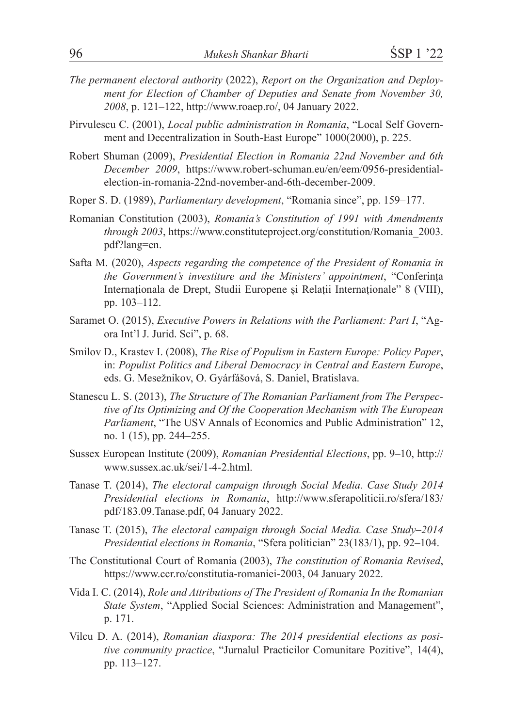- *The permanent electoral authority* (2022), *Report on the Organization and Deployment for Election of Chamber of Deputies and Senate from November 30, 2008*, p. 121–122, http://www.roaep.ro/, 04 January 2022.
- Pirvulescu C. (2001), *Local public administration in Romania*, "Local Self Government and Decentralization in South-East Europe" 1000(2000), p. 225.
- Robert Shuman (2009), *Presidential Election in Romania 22nd November and 6th December 2009*, https://www.robert-schuman.eu/en/eem/0956-presidentialelection-in-romania-22nd-november-and-6th-december-2009.
- Roper S. D. (1989), *Parliamentary development*, "Romania since", pp. 159–177.
- Romanian Constitution (2003), *Romania's Constitution of 1991 with Amendments through 2003*, https://www.constituteproject.org/constitution/Romania\_2003. pdf?lang=en.
- Safta M. (2020), *Aspects regarding the competence of the President of Romania in the Government's investiture and the Ministers' appointment*, "Conferința Internaționala de Drept, Studii Europene și Relații Internaționale" 8 (VIII), pp. 103–112.
- Saramet O. (2015), *Executive Powers in Relations with the Parliament: Part I*, "Agora Int'l J. Jurid. Sci", p. 68.
- Smilov D., Krastev I. (2008), *The Rise of Populism in Eastern Europe: Policy Paper*, in: *Populist Politics and Liberal Democracy in Central and Eastern Europe*, eds. G. Mesežnikov, O. Gyárfášová, S. Daniel, Bratislava.
- Stanescu L. S. (2013), *The Structure of The Romanian Parliament from The Perspective of Its Optimizing and Of the Cooperation Mechanism with The European Parliament*, "The USV Annals of Economics and Public Administration" 12, no. 1 (15), pp. 244–255.
- Sussex European Institute (2009), *Romanian Presidential Elections*, pp. 9–10, http:// www.sussex.ac.uk/sei/1-4-2.html.
- Tanase T. (2014), *The electoral campaign through Social Media. Case Study 2014 Presidential elections in Romania*, http://www.sferapoliticii.ro/sfera/183/ pdf/183.09.Tanase.pdf, 04 January 2022.
- Tanase T. (2015), *The electoral campaign through Social Media. Case Study–2014 Presidential elections in Romania*, "Sfera politician" 23(183/1), pp. 92–104.
- The Constitutional Court of Romania (2003), *The constitution of Romania Revised*, https://www.ccr.ro/constitutia-romaniei-2003, 04 January 2022.
- Vida I. C. (2014), *Role and Attributions of The President of Romania In the Romanian State System*, "Applied Social Sciences: Administration and Management", p. 171.
- Vilcu D. A. (2014), *Romanian diaspora: The 2014 presidential elections as positive community practice*, "Jurnalul Practicilor Comunitare Pozitive", 14(4), pp. 113–127.